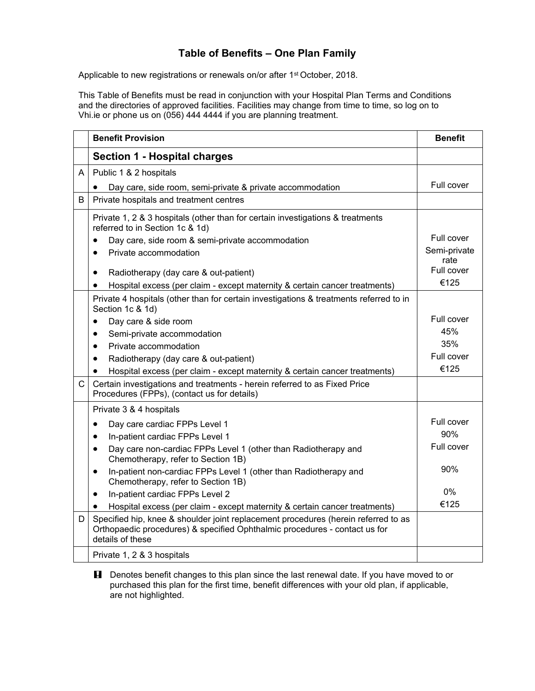## **Table of Benefits – One Plan Family**

Applicable to new registrations or renewals on/or after 1<sup>st</sup> October, 2018.

This Table of Benefits must be read in conjunction with your Hospital Plan Terms and Conditions and the directories of approved facilities. Facilities may change from time to time, so log on to Vhi.ie or phone us on (056) 444 4444 if you are planning treatment.

|              | <b>Benefit Provision</b>                                                                                                                                                             | <b>Benefit</b>     |
|--------------|--------------------------------------------------------------------------------------------------------------------------------------------------------------------------------------|--------------------|
|              | <b>Section 1 - Hospital charges</b>                                                                                                                                                  |                    |
| A            | Public 1 & 2 hospitals                                                                                                                                                               |                    |
|              | Day care, side room, semi-private & private accommodation                                                                                                                            | Full cover         |
| B            | Private hospitals and treatment centres                                                                                                                                              |                    |
|              | Private 1, 2 & 3 hospitals (other than for certain investigations & treatments<br>referred to in Section 1c & 1d)                                                                    |                    |
|              | Day care, side room & semi-private accommodation<br>$\bullet$                                                                                                                        | Full cover         |
|              | Private accommodation<br>$\bullet$                                                                                                                                                   | Semi-private       |
|              |                                                                                                                                                                                      | rate<br>Full cover |
|              | Radiotherapy (day care & out-patient)<br>$\bullet$                                                                                                                                   | €125               |
|              | Hospital excess (per claim - except maternity & certain cancer treatments)<br>$\bullet$                                                                                              |                    |
|              | Private 4 hospitals (other than for certain investigations & treatments referred to in<br>Section 1c & 1d)                                                                           |                    |
|              | Day care & side room<br>$\bullet$                                                                                                                                                    | Full cover         |
|              | Semi-private accommodation<br>$\bullet$                                                                                                                                              | 45%                |
|              | Private accommodation<br>$\bullet$                                                                                                                                                   | 35%                |
|              | Radiotherapy (day care & out-patient)<br>$\bullet$                                                                                                                                   | Full cover         |
|              | Hospital excess (per claim - except maternity & certain cancer treatments)<br>$\bullet$                                                                                              | €125               |
| $\mathsf{C}$ | Certain investigations and treatments - herein referred to as Fixed Price<br>Procedures (FPPs), (contact us for details)                                                             |                    |
|              | Private 3 & 4 hospitals                                                                                                                                                              |                    |
|              | Day care cardiac FPPs Level 1<br>$\bullet$                                                                                                                                           | Full cover         |
|              | In-patient cardiac FPPs Level 1<br>$\bullet$                                                                                                                                         | 90%                |
|              | Day care non-cardiac FPPs Level 1 (other than Radiotherapy and<br>$\bullet$<br>Chemotherapy, refer to Section 1B)                                                                    | Full cover         |
|              | In-patient non-cardiac FPPs Level 1 (other than Radiotherapy and<br>$\bullet$<br>Chemotherapy, refer to Section 1B)                                                                  | 90%                |
|              | In-patient cardiac FPPs Level 2<br>$\bullet$                                                                                                                                         | $0\%$              |
|              | Hospital excess (per claim - except maternity & certain cancer treatments)                                                                                                           | €125               |
| D            | Specified hip, knee & shoulder joint replacement procedures (herein referred to as<br>Orthopaedic procedures) & specified Ophthalmic procedures - contact us for<br>details of these |                    |
|              | Private 1, 2 & 3 hospitals                                                                                                                                                           |                    |

**H** Denotes benefit changes to this plan since the last renewal date. If you have moved to or purchased this plan for the first time, benefit differences with your old plan, if applicable, are not highlighted.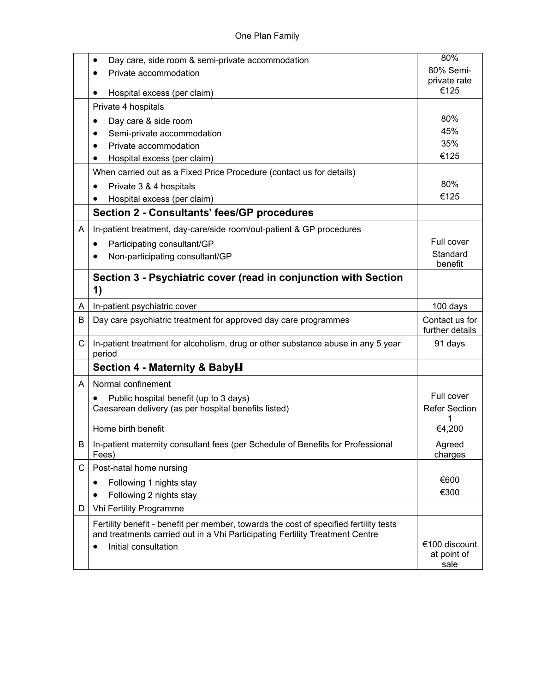|              | Day care, side room & semi-private accommodation<br>٠                                      | 80%                                  |
|--------------|--------------------------------------------------------------------------------------------|--------------------------------------|
|              | Private accommodation<br>$\bullet$                                                         | 80% Semi-                            |
|              |                                                                                            | private rate                         |
|              | Hospital excess (per claim)                                                                | €125                                 |
|              | Private 4 hospitals                                                                        |                                      |
|              | Day care & side room                                                                       | 80%                                  |
|              | Semi-private accommodation                                                                 | 45%                                  |
|              | Private accommodation                                                                      | 35%                                  |
|              | Hospital excess (per claim)                                                                | €125                                 |
|              | When carried out as a Fixed Price Procedure (contact us for details)                       |                                      |
|              | Private 3 & 4 hospitals                                                                    | 80%                                  |
|              | Hospital excess (per claim)                                                                | €125                                 |
|              | <b>Section 2 - Consultants' fees/GP procedures</b>                                         |                                      |
| A            | In-patient treatment, day-care/side room/out-patient & GP procedures                       |                                      |
|              | Participating consultant/GP<br>٠                                                           | Full cover                           |
|              | Non-participating consultant/GP                                                            | Standard                             |
|              |                                                                                            | benefit                              |
|              | Section 3 - Psychiatric cover (read in conjunction with Section<br>1)                      |                                      |
| A            | In-patient psychiatric cover                                                               | 100 days                             |
| B            | Day care psychiatric treatment for approved day care programmes                            | Contact us for<br>further details    |
| C.           | In-patient treatment for alcoholism, drug or other substance abuse in any 5 year<br>period | 91 days                              |
|              | Section 4 - Maternity & BabyH                                                              |                                      |
| A            | Normal confinement                                                                         |                                      |
|              | Public hospital benefit (up to 3 days)                                                     | Full cover                           |
|              | Caesarean delivery (as per hospital benefits listed)                                       | <b>Refer Section</b>                 |
|              | Home birth benefit                                                                         | 1<br>€4,200                          |
| B            | In-patient maternity consultant fees (per Schedule of Benefits for Professional<br>Fees)   | Agreed<br>charges                    |
| $\mathsf{C}$ | Post-natal home nursing                                                                    |                                      |
|              | Following 1 nights stay<br>$\bullet$                                                       | €600                                 |
|              | Following 2 nights stay<br>٠                                                               | €300                                 |
| D            | <b>Vhi Fertility Programme</b>                                                             |                                      |
|              | Fertility benefit - benefit per member, towards the cost of specified fertility tests      |                                      |
|              | and treatments carried out in a Vhi Participating Fertility Treatment Centre               |                                      |
|              | Initial consultation<br>$\bullet$                                                          | €100 discount<br>at point of<br>sale |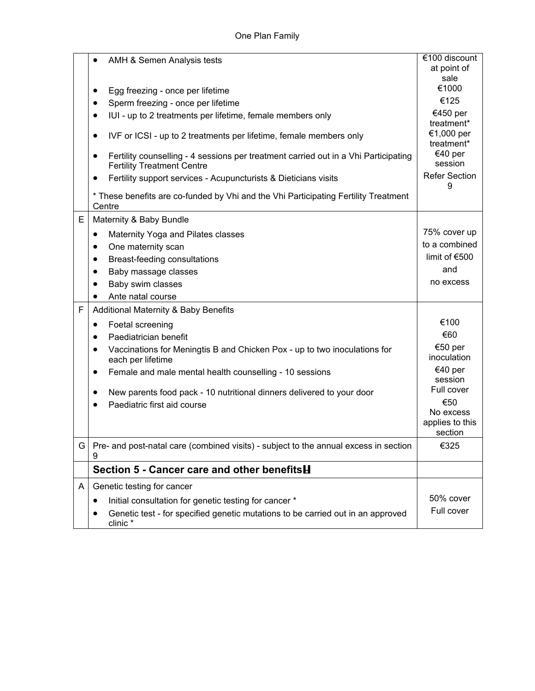|   | AMH & Semen Analysis tests<br>Egg freezing - once per lifetime<br>٠<br>Sperm freezing - once per lifetime<br>$\bullet$<br>IUI - up to 2 treatments per lifetime, female members only<br>$\bullet$<br>IVF or ICSI - up to 2 treatments per lifetime, female members only<br>٠<br>Fertility counselling - 4 sessions per treatment carried out in a Vhi Participating<br><b>Fertility Treatment Centre</b><br>Fertility support services - Acupuncturists & Dieticians visits<br>* These benefits are co-funded by Vhi and the Vhi Participating Fertility Treatment | €100 discount<br>at point of<br>sale<br>€1000<br>€125<br>€450 per<br>treatment*<br>€1,000 per<br>treatment*<br>€40 per<br>session<br><b>Refer Section</b><br>9 |
|---|--------------------------------------------------------------------------------------------------------------------------------------------------------------------------------------------------------------------------------------------------------------------------------------------------------------------------------------------------------------------------------------------------------------------------------------------------------------------------------------------------------------------------------------------------------------------|----------------------------------------------------------------------------------------------------------------------------------------------------------------|
|   | Centre                                                                                                                                                                                                                                                                                                                                                                                                                                                                                                                                                             |                                                                                                                                                                |
| E | Maternity & Baby Bundle<br>Maternity Yoga and Pilates classes<br>$\bullet$<br>One maternity scan<br>٠<br>Breast-feeding consultations<br>٠<br>Baby massage classes<br>٠<br>Baby swim classes<br>Ante natal course                                                                                                                                                                                                                                                                                                                                                  | 75% cover up<br>to a combined<br>limit of $€500$<br>and<br>no excess                                                                                           |
| F | <b>Additional Maternity &amp; Baby Benefits</b>                                                                                                                                                                                                                                                                                                                                                                                                                                                                                                                    |                                                                                                                                                                |
|   | Foetal screening<br>٠<br>Paediatrician benefit<br>$\bullet$<br>Vaccinations for Meningtis B and Chicken Pox - up to two inoculations for<br>each per lifetime<br>Female and male mental health counselling - 10 sessions<br>٠<br>New parents food pack - 10 nutritional dinners delivered to your door<br>٠<br>Paediatric first aid course                                                                                                                                                                                                                         | €100<br>€60<br>€50 per<br>inoculation<br>€40 per<br>session<br>Full cover<br>€50<br>No excess<br>applies to this<br>section                                    |
| G | Pre- and post-natal care (combined visits) - subject to the annual excess in section<br>9                                                                                                                                                                                                                                                                                                                                                                                                                                                                          | €325                                                                                                                                                           |
|   | Section 5 - Cancer care and other benefits <b>H</b>                                                                                                                                                                                                                                                                                                                                                                                                                                                                                                                |                                                                                                                                                                |
| A | Genetic testing for cancer<br>Initial consultation for genetic testing for cancer *<br>Genetic test - for specified genetic mutations to be carried out in an approved<br>clinic*                                                                                                                                                                                                                                                                                                                                                                                  | 50% cover<br>Full cover                                                                                                                                        |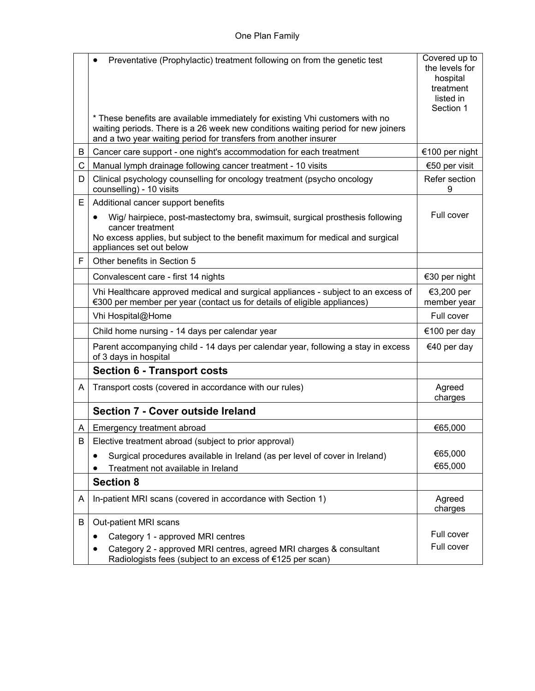|    | Preventative (Prophylactic) treatment following on from the genetic test<br>٠<br>* These benefits are available immediately for existing Vhi customers with no<br>waiting periods. There is a 26 week new conditions waiting period for new joiners | Covered up to<br>the levels for<br>hospital<br>treatment<br>listed in<br>Section 1 |
|----|-----------------------------------------------------------------------------------------------------------------------------------------------------------------------------------------------------------------------------------------------------|------------------------------------------------------------------------------------|
|    | and a two year waiting period for transfers from another insurer                                                                                                                                                                                    |                                                                                    |
| B  | Cancer care support - one night's accommodation for each treatment                                                                                                                                                                                  | €100 per night                                                                     |
| C  | Manual lymph drainage following cancer treatment - 10 visits                                                                                                                                                                                        | €50 per visit                                                                      |
| D  | Clinical psychology counselling for oncology treatment (psycho oncology<br>counselling) - 10 visits                                                                                                                                                 | Refer section<br>9                                                                 |
| Е  | Additional cancer support benefits                                                                                                                                                                                                                  |                                                                                    |
|    | Wig/ hairpiece, post-mastectomy bra, swimsuit, surgical prosthesis following<br>٠<br>cancer treatment<br>No excess applies, but subject to the benefit maximum for medical and surgical<br>appliances set out below                                 | Full cover                                                                         |
| F  | Other benefits in Section 5                                                                                                                                                                                                                         |                                                                                    |
|    | Convalescent care - first 14 nights                                                                                                                                                                                                                 | €30 per night                                                                      |
|    | Vhi Healthcare approved medical and surgical appliances - subject to an excess of<br>€300 per member per year (contact us for details of eligible appliances)                                                                                       | €3,200 per<br>member year                                                          |
|    | Vhi Hospital@Home                                                                                                                                                                                                                                   | Full cover                                                                         |
|    | Child home nursing - 14 days per calendar year                                                                                                                                                                                                      | €100 per day                                                                       |
|    | Parent accompanying child - 14 days per calendar year, following a stay in excess<br>of 3 days in hospital                                                                                                                                          | €40 per day                                                                        |
|    | <b>Section 6 - Transport costs</b>                                                                                                                                                                                                                  |                                                                                    |
| A  | Transport costs (covered in accordance with our rules)                                                                                                                                                                                              | Agreed<br>charges                                                                  |
|    | <b>Section 7 - Cover outside Ireland</b>                                                                                                                                                                                                            |                                                                                    |
| A  | Emergency treatment abroad                                                                                                                                                                                                                          | €65,000                                                                            |
| В. | Elective treatment abroad (subject to prior approval)                                                                                                                                                                                               |                                                                                    |
|    | Surgical procedures available in Ireland (as per level of cover in Ireland)                                                                                                                                                                         | €65,000                                                                            |
|    | Treatment not available in Ireland                                                                                                                                                                                                                  | €65,000                                                                            |
|    | <b>Section 8</b>                                                                                                                                                                                                                                    |                                                                                    |
| A  | In-patient MRI scans (covered in accordance with Section 1)                                                                                                                                                                                         | Agreed<br>charges                                                                  |
| B  | Out-patient MRI scans                                                                                                                                                                                                                               |                                                                                    |
|    | Category 1 - approved MRI centres<br>٠                                                                                                                                                                                                              | Full cover                                                                         |
|    | Category 2 - approved MRI centres, agreed MRI charges & consultant<br>Radiologists fees (subject to an excess of €125 per scan)                                                                                                                     | Full cover                                                                         |